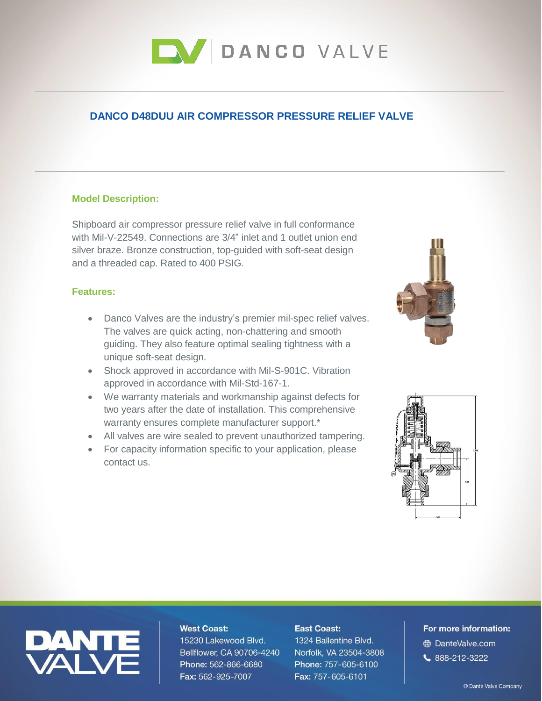

# **DANCO D48DUU AIR COMPRESSOR PRESSURE RELIEF VALVE**

### **Model Description:**

Shipboard air compressor pressure relief valve in full conformance with Mil-V-22549. Connections are 3/4" inlet and 1 outlet union end silver braze. Bronze construction, top-guided with soft-seat design and a threaded cap. Rated to 400 PSIG.

# **Features:**

- Danco Valves are the industry's premier mil-spec relief valves. The valves are quick acting, non-chattering and smooth guiding. They also feature optimal sealing tightness with a unique soft-seat design.
- Shock approved in accordance with Mil-S-901C. Vibration approved in accordance with Mil-Std-167-1.
- We warranty materials and workmanship against defects for two years after the date of installation. This comprehensive warranty ensures complete manufacturer support.\*
- All valves are wire sealed to prevent unauthorized tampering.
- For capacity information specific to your application, please contact us.





# **West Coast:**

15230 Lakewood Blvd. Bellflower, CA 90706-4240 Phone: 562-866-6680 Fax: 562-925-7007

#### **East Coast:**

1324 Ballentine Blvd. Norfolk, VA 23504-3808 Phone: 757-605-6100 Fax: 757-605-6101

# For more information: **ED** DanteValve.com  $888 - 212 - 3222$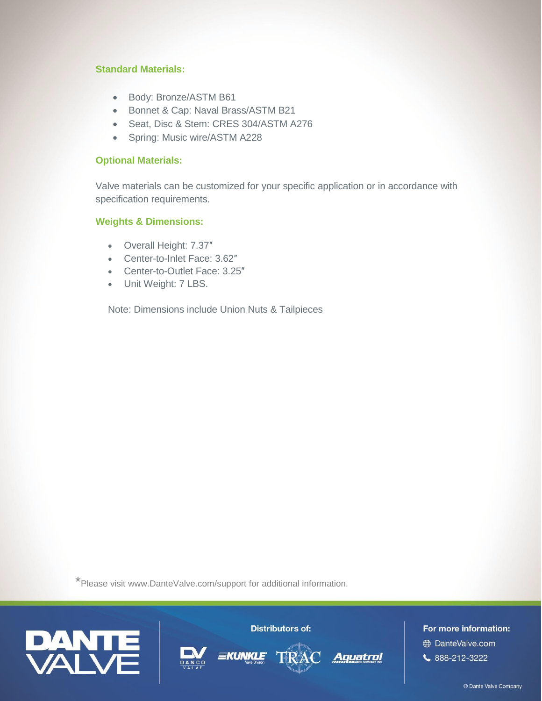# **Standard Materials:**

- Body: Bronze/ASTM B61
- Bonnet & Cap: Naval Brass/ASTM B21
- Seat, Disc & Stem: CRES 304/ASTM A276
- Spring: Music wire/ASTM A228

# **Optional Materials:**

Valve materials can be customized for your specific application or in accordance with specification requirements.

# **Weights & Dimensions:**

- Overall Height: 7.37″
- Center-to-Inlet Face: 3.62″
- Center-to-Outlet Face: 3.25″
- Unit Weight: 7 LBS.

Note: Dimensions include Union Nuts & Tailpieces

\*Please visit [www.DanteValve.com/support](http://www.dantevalve.com/support) for additional information.



**Distributors of:** 

Aquatrol

For more information: **DanteValve.com**  $\begin{array}{l} \text{6.888-212-3222} \end{array}$